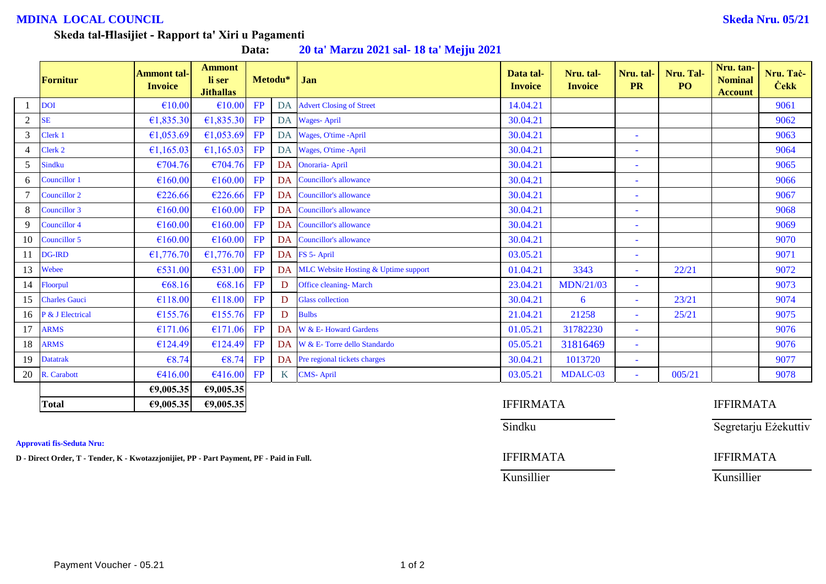## **MDINA LOCAL COUNCIL Skeda Nru. 05/21**

### **Skeda tal-Ħlasijiet - Rapport ta' Xiri u Pagamenti**

**Data: 20 ta' Marzu 2021 sal- 18 ta' Mejju 2021**

|                | <b>Fornitur</b>      | <b>Ammont tal-</b><br><b>Invoice</b> | <b>Ammont</b><br>li ser<br><b>Jithallas</b> |    | Metodu*          | Jan                                  | Data tal-<br><b>Invoice</b> | Nru. tal-<br><b>Invoice</b> | Nru. tal-<br><b>PR</b>   | Nru. Tal-<br>P <sub>O</sub> | Nru. tan-<br><b>Nominal</b><br><b>Account</b> | Nru. Taċ-<br><b>Cekk</b> |
|----------------|----------------------|--------------------------------------|---------------------------------------------|----|------------------|--------------------------------------|-----------------------------|-----------------------------|--------------------------|-----------------------------|-----------------------------------------------|--------------------------|
|                | <b>DOI</b>           | €10.00                               | €10.00                                      | FP | DA               | <b>Advert Closing of Street</b>      | 14.04.21                    |                             |                          |                             |                                               | 9061                     |
| $\overline{2}$ | <b>SE</b>            | €1,835.30                            | €1,835.30                                   | FP |                  | DA Wages-April                       | 30.04.21                    |                             |                          |                             |                                               | 9062                     |
| 3              | Clerk 1              | €1,053.69                            | £1,053.69                                   | FP |                  | DA Wages, O'time -April              | 30.04.21                    |                             | $\blacksquare$           |                             |                                               | 9063                     |
| $\overline{4}$ | Clerk 2              | €1,165.03                            | €1,165.03                                   | FP | DA               | Wages, O'time -April                 | 30.04.21                    |                             | $\blacksquare$           |                             |                                               | 9064                     |
| 5              | <b>Sindku</b>        | €704.76                              | €704.76                                     | FP | DA               | <b>Onoraria-April</b>                | 30.04.21                    |                             | $\overline{\phantom{a}}$ |                             |                                               | 9065                     |
| 6              | Councillor 1         | €160.00                              | £160.00                                     | FP | DA               | Councillor's allowance               | 30.04.21                    |                             | $\blacksquare$           |                             |                                               | 9066                     |
|                | Councillor 2         | €226.66                              | €226.66                                     | FP | DA               | Councillor's allowance               | 30.04.21                    |                             | $\blacksquare$           |                             |                                               | 9067                     |
| 8              | Councillor 3         | €160.00                              | €160.00                                     | FP | DA               | Councillor's allowance               | 30.04.21                    |                             | $\blacksquare$           |                             |                                               | 9068                     |
| 9              | Councillor 4         | €160.00                              | €160.00                                     | FP | DA               | <b>Councillor's allowance</b>        | 30.04.21                    |                             | ۰                        |                             |                                               | 9069                     |
| 10             | Councillor 5         | €160.00                              | €160.00                                     | FP | DA               | Councillor's allowance               | 30.04.21                    |                             | $\overline{\phantom{a}}$ |                             |                                               | 9070                     |
| 11             | <b>DG-IRD</b>        | £1,776.70                            | €1,776.70 FP                                |    |                  | DA FS 5- April                       | 03.05.21                    |                             | $\blacksquare$           |                             |                                               | 9071                     |
| 13             | Webee                | €531.00                              | €531.00                                     | FP | DA               | MLC Website Hosting & Uptime support | 01.04.21                    | 3343                        | $\blacksquare$           | 22/21                       |                                               | 9072                     |
| 14             | Floorpul             | €68.16                               | €68.16                                      | FP | D                | <b>Office cleaning- March</b>        | 23.04.21                    | <b>MDN/21/03</b>            | ۰                        |                             |                                               | 9073                     |
| 15             | <b>Charles Gauci</b> | €118.00                              | £118.00                                     | FP | D                | <b>Glass collection</b>              | 30.04.21                    | 6                           | $\equiv$                 | 23/21                       |                                               | 9074                     |
| 16             | P & J Electrical     | €155.76                              | £155.76                                     | FP | D                | <b>Bulbs</b>                         | 21.04.21                    | 21258                       | $\omega$                 | 25/21                       |                                               | 9075                     |
| 17             | <b>ARMS</b>          | €171.06                              | €171.06                                     | FP | DA               | W & E- Howard Gardens                | 01.05.21                    | 31782230                    | $\blacksquare$           |                             |                                               | 9076                     |
| 18             | <b>ARMS</b>          | €124.49                              | £124.49                                     | FP |                  | DA W & E- Torre dello Standardo      | 05.05.21                    | 31816469                    | $\sim$                   |                             |                                               | 9076                     |
| 19             | <b>Datatrak</b>      | €8.74                                | €8.74                                       | FP | DA               | Pre regional tickets charges         | 30.04.21                    | 1013720                     | $\overline{\phantom{a}}$ |                             |                                               | 9077                     |
| 20             | R. Carabott          | €416.00                              | €416.00                                     | FP | $K_{\mathbb{R}}$ | <b>CMS-April</b>                     | 03.05.21                    | MDALC-03                    | $\equiv$                 | 005/21                      |                                               | 9078                     |
|                |                      | €9,005.35                            | €9,005.35                                   |    |                  |                                      |                             |                             |                          |                             |                                               |                          |
|                | <b>Total</b>         | 69,005.35                            | €9,005.35                                   |    |                  |                                      | <b>IFFIRMATA</b>            |                             |                          |                             | <b>IFFIRMATA</b>                              |                          |

**Approvati fis-Seduta Nru:**

**D - Direct Order, T - Tender, K - Kwotazzjonijiet, PP - Part Payment, PF - Paid in Full.** IFFIRMATA IFFIRMATA

Sindku Sindku Segretarju Eżekuttiv

Kunsillier Kunsillier